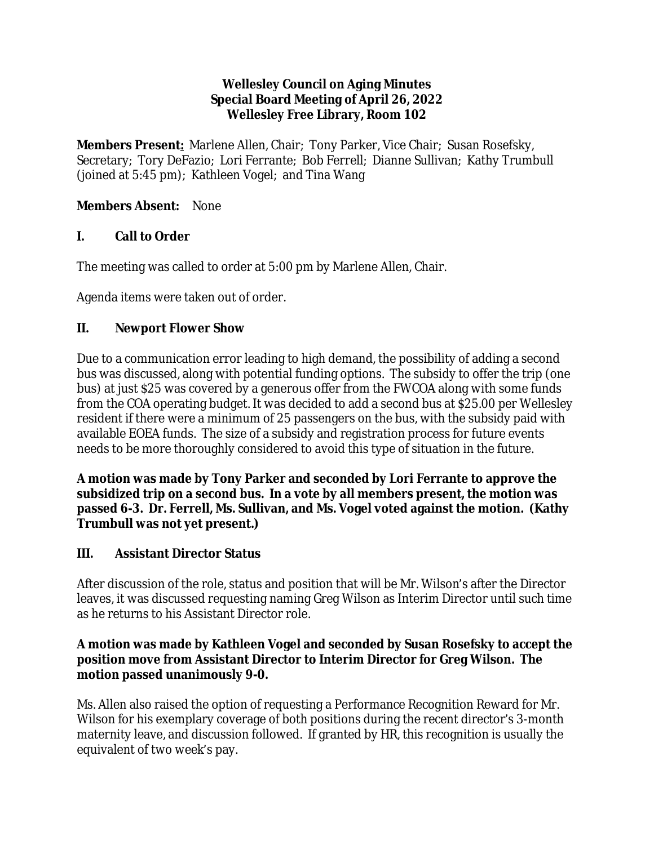#### **Wellesley Council on Aging Minutes Special Board Meeting of April 26, 2022 Wellesley Free Library, Room 102**

**Members Present:** Marlene Allen, Chair; Tony Parker, Vice Chair; Susan Rosefsky, Secretary; Tory DeFazio; Lori Ferrante; Bob Ferrell; Dianne Sullivan; Kathy Trumbull (joined at 5:45 pm); Kathleen Vogel; and Tina Wang

## **Members Absent:** None

## **I. Call to Order**

The meeting was called to order at 5:00 pm by Marlene Allen, Chair.

Agenda items were taken out of order.

## **II. Newport Flower Show**

Due to a communication error leading to high demand, the possibility of adding a second bus was discussed, along with potential funding options. The subsidy to offer the trip (one bus) at just \$25 was covered by a generous offer from the FWCOA along with some funds from the COA operating budget. It was decided to add a second bus at \$25.00 per Wellesley resident if there were a minimum of 25 passengers on the bus, with the subsidy paid with available EOEA funds. The size of a subsidy and registration process for future events needs to be more thoroughly considered to avoid this type of situation in the future.

**A motion was made by Tony Parker and seconded by Lori Ferrante to approve the subsidized trip on a second bus. In a vote by all members present, the motion was passed 6-3. Dr. Ferrell, Ms. Sullivan, and Ms. Vogel voted against the motion. (Kathy Trumbull was not yet present.)**

# **III. Assistant Director Status**

After discussion of the role, status and position that will be Mr. Wilson's after the Director leaves, it was discussed requesting naming Greg Wilson as Interim Director until such time as he returns to his Assistant Director role.

#### **A motion was made by Kathleen Vogel and seconded by Susan Rosefsky to accept the position move from Assistant Director to Interim Director for Greg Wilson. The motion passed unanimously 9-0.**

Ms. Allen also raised the option of requesting a Performance Recognition Reward for Mr. Wilson for his exemplary coverage of both positions during the recent director's 3-month maternity leave, and discussion followed. If granted by HR, this recognition is usually the equivalent of two week's pay.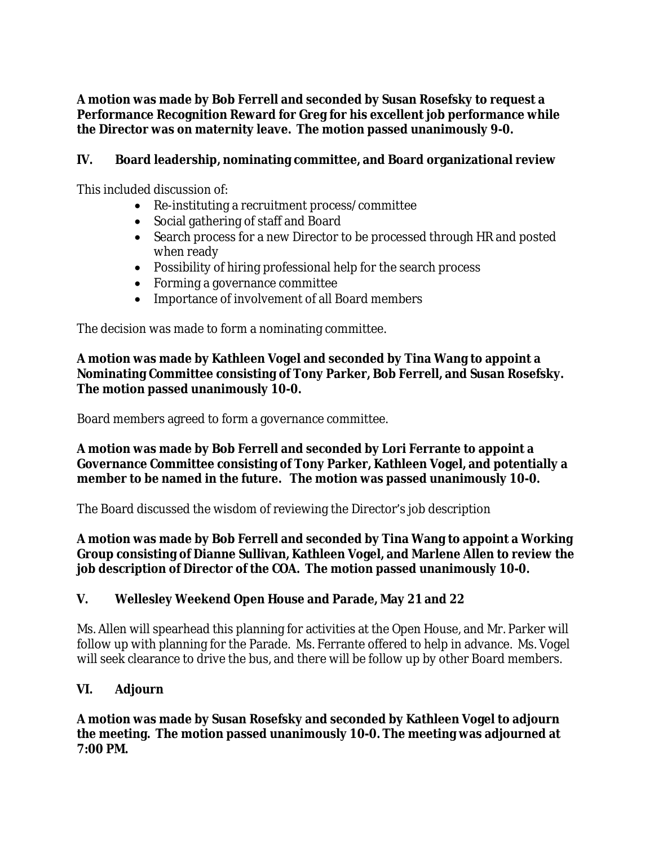**A motion was made by Bob Ferrell and seconded by Susan Rosefsky to request a Performance Recognition Reward for Greg for his excellent job performance while the Director was on maternity leave. The motion passed unanimously 9-0.**

### **IV. Board leadership, nominating committee, and Board organizational review**

This included discussion of:

- Re-instituting a recruitment process/committee
- Social gathering of staff and Board
- Search process for a new Director to be processed through HR and posted when ready
- Possibility of hiring professional help for the search process
- Forming a governance committee
- Importance of involvement of all Board members

The decision was made to form a nominating committee.

**A motion was made by Kathleen Vogel and seconded by Tina Wang to appoint a Nominating Committee consisting of Tony Parker, Bob Ferrell, and Susan Rosefsky. The motion passed unanimously 10-0.**

Board members agreed to form a governance committee.

**A motion was made by Bob Ferrell and seconded by Lori Ferrante to appoint a Governance Committee consisting of Tony Parker, Kathleen Vogel, and potentially a member to be named in the future. The motion was passed unanimously 10-0.**

The Board discussed the wisdom of reviewing the Director's job description

**A motion was made by Bob Ferrell and seconded by Tina Wang to appoint a Working Group consisting of Dianne Sullivan, Kathleen Vogel, and Marlene Allen to review the job description of Director of the COA. The motion passed unanimously 10-0.**

### **V. Wellesley Weekend Open House and Parade, May 21and 22**

Ms. Allen will spearhead this planning for activities at the Open House, and Mr. Parker will follow up with planning for the Parade. Ms. Ferrante offered to help in advance. Ms. Vogel will seek clearance to drive the bus, and there will be follow up by other Board members.

# **VI. Adjourn**

**A motion was made by Susan Rosefsky and seconded by Kathleen Vogel to adjourn the meeting. The motion passed unanimously 10-0. The meeting was adjourned at 7:00 PM.**